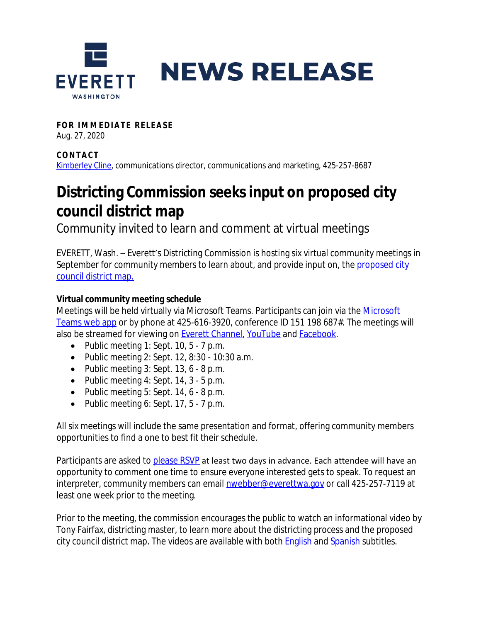

**FOR IMMEDIATE RELEASE** 

Aug. 27, 2020

**CONTAC T** [Kimberley Cline,](mailto:kcline@everettwa.gov) communications director, communications and marketing, 425-257-8687

## **Districting Commission seeks input on proposed city council district map**

Community invited to learn and comment at virtual meetings

EVERETT, Wash. – Everett's Districting Commission is hosting six virtual community meetings in September for community members to learn about, and provide input on, the proposed city council district map.

## **Virtual community meeting schedule**

Meetings will be held virtually via [Microsoft](https://teams.microsoft.com/l/meetup-join/19%3ameeting_ZmFkNTViZGEtZWViNy00OWI1LWEwM2EtZGY5MGE5MTY4ZTZh%40thread.v2/0?context=%7b%22Tid%22%3a%227ac422a9-fc2d-41b8-9bff-064aaf2eb0c4%22%2c%22Oid%22%3a%222255fdaa-8df5-4c0d-addc-042071481eb6%22%7d) Teams. Participants can join via the Microsoft Teams web app or by phone at 425-616-3920, conference ID 151 198 687#. The meetings will also be streamed for viewing on **Everett Channel**, [YouTube](http://www.youtube.com/everettcity) and **Facebook**.

- Public meeting  $1:$  Sept. 10,  $5 7$  p.m.
- Public meeting 2: Sept. 12, 8:30 10:30 a.m.
- Public meeting  $3:$  Sept. 13,  $6 8$  p.m.
- Public meeting  $4:$  Sept. 14,  $3 5$  p.m.
- Public meeting  $5:$  Sept. 14,  $6 8$  p.m.
- Public meeting 6: Sept.  $17, 5 7$  p.m.

All six meetings will include the same presentation and format, offering community members opportunities to find a one to best fit their schedule.

Participants are asked to [please RSVP](https://everettwa.gov/FormCenter/Boards-Commissions-25/Districting-community-meeting-RSVP-361) at least two days in advance. Each attendee will have an opportunity to comment one time to ensure everyone interested gets to speak. To request an interpreter, community members can email **nwebber@everettwa.gov** or call 425-257-7119 at least one week prior to the meeting.

Prior to the meeting, the commission encourages the public to watch an informational video by Tony Fairfax, districting master, to learn more about the districting process and the proposed city council district map. The videos are available with both [English](https://youtu.be/osrhxmAsyWo) and [Spanish](https://youtu.be/WwcZg61vcj4) subtitles.